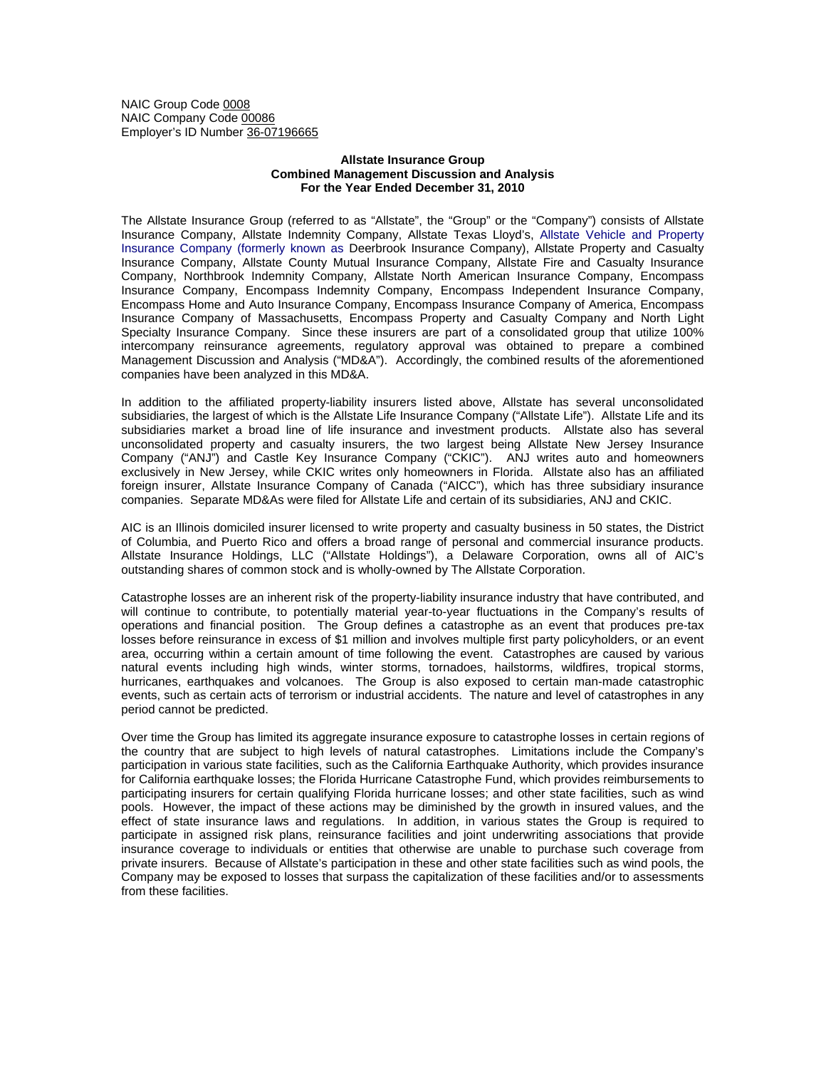NAIC Group Code 0008 NAIC Company Code 00086 Employer's ID Number 36-07196665

## **Allstate Insurance Group Combined Management Discussion and Analysis For the Year Ended December 31, 2010**

The Allstate Insurance Group (referred to as "Allstate", the "Group" or the "Company") consists of Allstate Insurance Company, Allstate Indemnity Company, Allstate Texas Lloyd's, Allstate Vehicle and Property Insurance Company (formerly known as Deerbrook Insurance Company), Allstate Property and Casualty Insurance Company, Allstate County Mutual Insurance Company, Allstate Fire and Casualty Insurance Company, Northbrook Indemnity Company, Allstate North American Insurance Company, Encompass Insurance Company, Encompass Indemnity Company, Encompass Independent Insurance Company, Encompass Home and Auto Insurance Company, Encompass Insurance Company of America, Encompass Insurance Company of Massachusetts, Encompass Property and Casualty Company and North Light Specialty Insurance Company. Since these insurers are part of a consolidated group that utilize 100% intercompany reinsurance agreements, regulatory approval was obtained to prepare a combined Management Discussion and Analysis ("MD&A"). Accordingly, the combined results of the aforementioned companies have been analyzed in this MD&A.

In addition to the affiliated property-liability insurers listed above, Allstate has several unconsolidated subsidiaries, the largest of which is the Allstate Life Insurance Company ("Allstate Life"). Allstate Life and its subsidiaries market a broad line of life insurance and investment products. Allstate also has several unconsolidated property and casualty insurers, the two largest being Allstate New Jersey Insurance Company ("ANJ") and Castle Key Insurance Company ("CKIC"). ANJ writes auto and homeowners exclusively in New Jersey, while CKIC writes only homeowners in Florida. Allstate also has an affiliated foreign insurer, Allstate Insurance Company of Canada ("AICC"), which has three subsidiary insurance companies. Separate MD&As were filed for Allstate Life and certain of its subsidiaries, ANJ and CKIC.

AIC is an Illinois domiciled insurer licensed to write property and casualty business in 50 states, the District of Columbia, and Puerto Rico and offers a broad range of personal and commercial insurance products. Allstate Insurance Holdings, LLC ("Allstate Holdings"), a Delaware Corporation, owns all of AIC's outstanding shares of common stock and is wholly-owned by The Allstate Corporation.

Catastrophe losses are an inherent risk of the property-liability insurance industry that have contributed, and will continue to contribute, to potentially material year-to-year fluctuations in the Company's results of operations and financial position. The Group defines a catastrophe as an event that produces pre-tax losses before reinsurance in excess of \$1 million and involves multiple first party policyholders, or an event area, occurring within a certain amount of time following the event. Catastrophes are caused by various natural events including high winds, winter storms, tornadoes, hailstorms, wildfires, tropical storms, hurricanes, earthquakes and volcanoes. The Group is also exposed to certain man-made catastrophic events, such as certain acts of terrorism or industrial accidents. The nature and level of catastrophes in any period cannot be predicted.

Over time the Group has limited its aggregate insurance exposure to catastrophe losses in certain regions of the country that are subject to high levels of natural catastrophes. Limitations include the Company's participation in various state facilities, such as the California Earthquake Authority, which provides insurance for California earthquake losses; the Florida Hurricane Catastrophe Fund, which provides reimbursements to participating insurers for certain qualifying Florida hurricane losses; and other state facilities, such as wind pools. However, the impact of these actions may be diminished by the growth in insured values, and the effect of state insurance laws and regulations. In addition, in various states the Group is required to participate in assigned risk plans, reinsurance facilities and joint underwriting associations that provide insurance coverage to individuals or entities that otherwise are unable to purchase such coverage from private insurers. Because of Allstate's participation in these and other state facilities such as wind pools, the Company may be exposed to losses that surpass the capitalization of these facilities and/or to assessments from these facilities.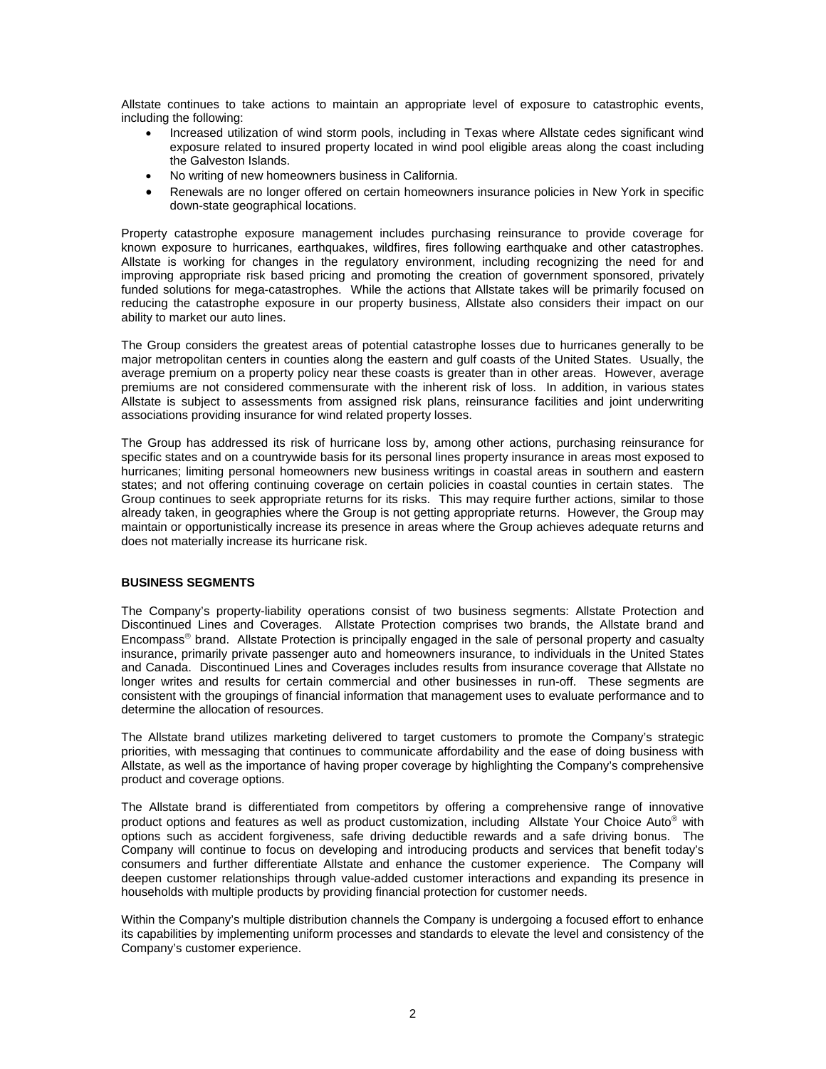Allstate continues to take actions to maintain an appropriate level of exposure to catastrophic events, including the following:

- Increased utilization of wind storm pools, including in Texas where Allstate cedes significant wind exposure related to insured property located in wind pool eligible areas along the coast including the Galveston Islands.
- No writing of new homeowners business in California.
- Renewals are no longer offered on certain homeowners insurance policies in New York in specific down-state geographical locations.

Property catastrophe exposure management includes purchasing reinsurance to provide coverage for known exposure to hurricanes, earthquakes, wildfires, fires following earthquake and other catastrophes. Allstate is working for changes in the regulatory environment, including recognizing the need for and improving appropriate risk based pricing and promoting the creation of government sponsored, privately funded solutions for mega-catastrophes. While the actions that Allstate takes will be primarily focused on reducing the catastrophe exposure in our property business, Allstate also considers their impact on our ability to market our auto lines.

The Group considers the greatest areas of potential catastrophe losses due to hurricanes generally to be major metropolitan centers in counties along the eastern and gulf coasts of the United States. Usually, the average premium on a property policy near these coasts is greater than in other areas. However, average premiums are not considered commensurate with the inherent risk of loss. In addition, in various states Allstate is subject to assessments from assigned risk plans, reinsurance facilities and joint underwriting associations providing insurance for wind related property losses.

The Group has addressed its risk of hurricane loss by, among other actions, purchasing reinsurance for specific states and on a countrywide basis for its personal lines property insurance in areas most exposed to hurricanes; limiting personal homeowners new business writings in coastal areas in southern and eastern states; and not offering continuing coverage on certain policies in coastal counties in certain states. The Group continues to seek appropriate returns for its risks. This may require further actions, similar to those already taken, in geographies where the Group is not getting appropriate returns. However, the Group may maintain or opportunistically increase its presence in areas where the Group achieves adequate returns and does not materially increase its hurricane risk.

## **BUSINESS SEGMENTS**

The Company's property-liability operations consist of two business segments: Allstate Protection and Discontinued Lines and Coverages. Allstate Protection comprises two brands, the Allstate brand and Encompass® brand. Allstate Protection is principally engaged in the sale of personal property and casualty insurance, primarily private passenger auto and homeowners insurance, to individuals in the United States and Canada. Discontinued Lines and Coverages includes results from insurance coverage that Allstate no longer writes and results for certain commercial and other businesses in run-off. These segments are consistent with the groupings of financial information that management uses to evaluate performance and to determine the allocation of resources.

The Allstate brand utilizes marketing delivered to target customers to promote the Company's strategic priorities, with messaging that continues to communicate affordability and the ease of doing business with Allstate, as well as the importance of having proper coverage by highlighting the Company's comprehensive product and coverage options.

The Allstate brand is differentiated from competitors by offering a comprehensive range of innovative product options and features as well as product customization, including Allstate Your Choice Auto® with options such as accident forgiveness, safe driving deductible rewards and a safe driving bonus. The Company will continue to focus on developing and introducing products and services that benefit today's consumers and further differentiate Allstate and enhance the customer experience. The Company will deepen customer relationships through value-added customer interactions and expanding its presence in households with multiple products by providing financial protection for customer needs.

Within the Company's multiple distribution channels the Company is undergoing a focused effort to enhance its capabilities by implementing uniform processes and standards to elevate the level and consistency of the Company's customer experience.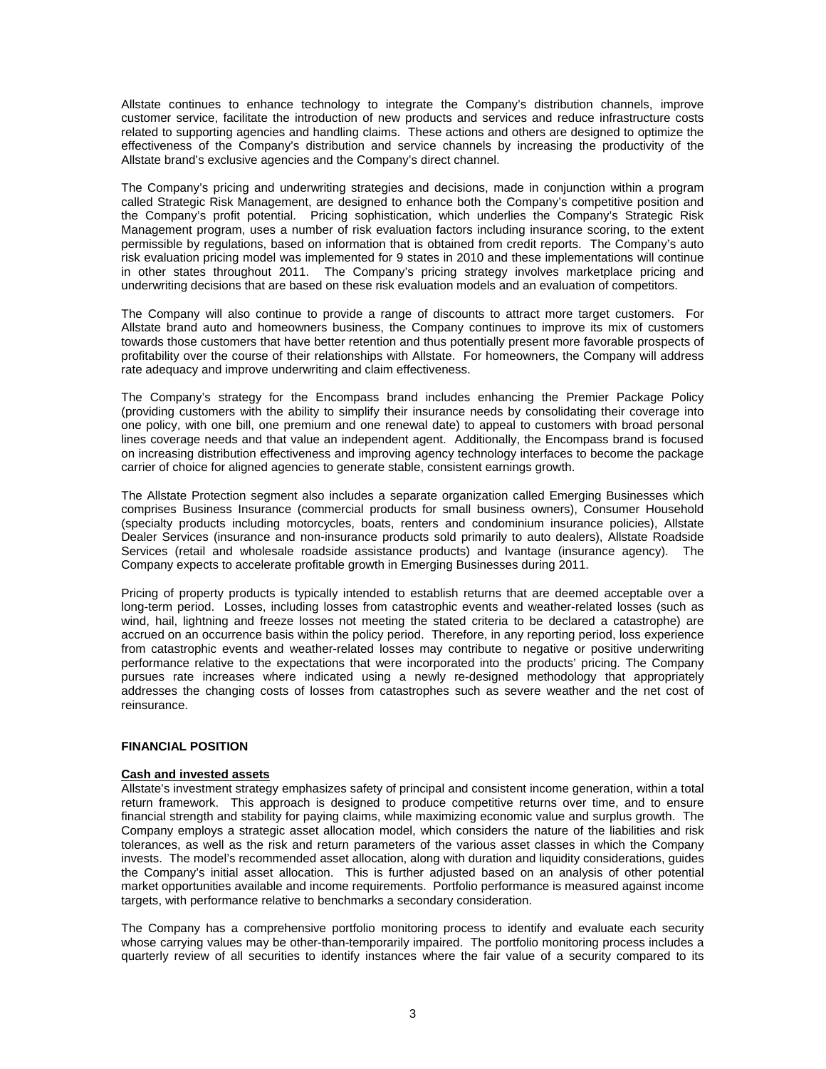Allstate continues to enhance technology to integrate the Company's distribution channels, improve customer service, facilitate the introduction of new products and services and reduce infrastructure costs related to supporting agencies and handling claims. These actions and others are designed to optimize the effectiveness of the Company's distribution and service channels by increasing the productivity of the Allstate brand's exclusive agencies and the Company's direct channel.

The Company's pricing and underwriting strategies and decisions, made in conjunction within a program called Strategic Risk Management, are designed to enhance both the Company's competitive position and the Company's profit potential. Pricing sophistication, which underlies the Company's Strategic Risk Management program, uses a number of risk evaluation factors including insurance scoring, to the extent permissible by regulations, based on information that is obtained from credit reports. The Company's auto risk evaluation pricing model was implemented for 9 states in 2010 and these implementations will continue in other states throughout 2011. The Company's pricing strategy involves marketplace pricing and underwriting decisions that are based on these risk evaluation models and an evaluation of competitors.

The Company will also continue to provide a range of discounts to attract more target customers. For Allstate brand auto and homeowners business, the Company continues to improve its mix of customers towards those customers that have better retention and thus potentially present more favorable prospects of profitability over the course of their relationships with Allstate. For homeowners, the Company will address rate adequacy and improve underwriting and claim effectiveness.

The Company's strategy for the Encompass brand includes enhancing the Premier Package Policy (providing customers with the ability to simplify their insurance needs by consolidating their coverage into one policy, with one bill, one premium and one renewal date) to appeal to customers with broad personal lines coverage needs and that value an independent agent. Additionally, the Encompass brand is focused on increasing distribution effectiveness and improving agency technology interfaces to become the package carrier of choice for aligned agencies to generate stable, consistent earnings growth.

The Allstate Protection segment also includes a separate organization called Emerging Businesses which comprises Business Insurance (commercial products for small business owners), Consumer Household (specialty products including motorcycles, boats, renters and condominium insurance policies), Allstate Dealer Services (insurance and non-insurance products sold primarily to auto dealers), Allstate Roadside Services (retail and wholesale roadside assistance products) and Ivantage (insurance agency). The Company expects to accelerate profitable growth in Emerging Businesses during 2011.

Pricing of property products is typically intended to establish returns that are deemed acceptable over a long-term period. Losses, including losses from catastrophic events and weather-related losses (such as wind, hail, lightning and freeze losses not meeting the stated criteria to be declared a catastrophe) are accrued on an occurrence basis within the policy period. Therefore, in any reporting period, loss experience from catastrophic events and weather-related losses may contribute to negative or positive underwriting performance relative to the expectations that were incorporated into the products' pricing. The Company pursues rate increases where indicated using a newly re-designed methodology that appropriately addresses the changing costs of losses from catastrophes such as severe weather and the net cost of reinsurance.

## **FINANCIAL POSITION**

# **Cash and invested assets**

Allstate's investment strategy emphasizes safety of principal and consistent income generation, within a total return framework. This approach is designed to produce competitive returns over time, and to ensure financial strength and stability for paying claims, while maximizing economic value and surplus growth. The Company employs a strategic asset allocation model, which considers the nature of the liabilities and risk tolerances, as well as the risk and return parameters of the various asset classes in which the Company invests. The model's recommended asset allocation, along with duration and liquidity considerations, guides the Company's initial asset allocation. This is further adjusted based on an analysis of other potential market opportunities available and income requirements. Portfolio performance is measured against income targets, with performance relative to benchmarks a secondary consideration.

The Company has a comprehensive portfolio monitoring process to identify and evaluate each security whose carrying values may be other-than-temporarily impaired. The portfolio monitoring process includes a quarterly review of all securities to identify instances where the fair value of a security compared to its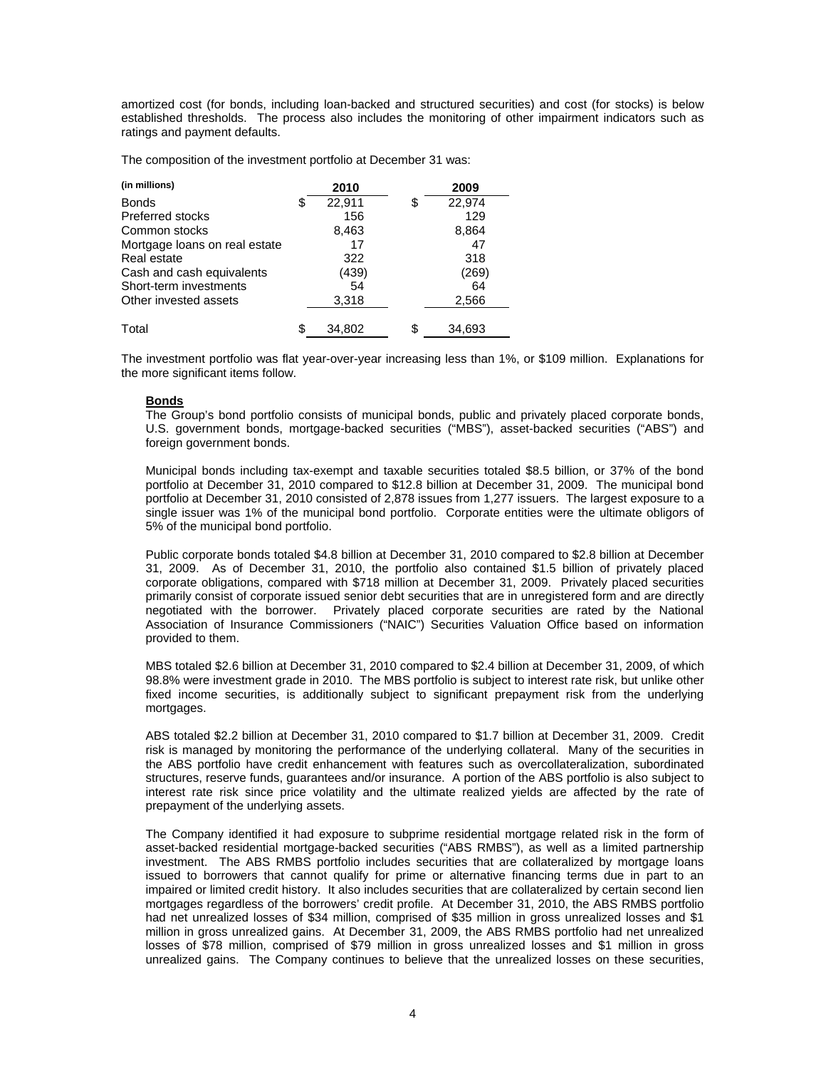amortized cost (for bonds, including loan-backed and structured securities) and cost (for stocks) is below established thresholds. The process also includes the monitoring of other impairment indicators such as ratings and payment defaults.

The composition of the investment portfolio at December 31 was:

| (in millions)                 |   | 2010   | 2009         |
|-------------------------------|---|--------|--------------|
| <b>Bonds</b>                  | S | 22,911 | \$<br>22,974 |
| <b>Preferred stocks</b>       |   | 156    | 129          |
| Common stocks                 |   | 8,463  | 8,864        |
| Mortgage loans on real estate |   | 17     | 47           |
| Real estate                   |   | 322    | 318          |
| Cash and cash equivalents     |   | (439)  | (269)        |
| Short-term investments        |   | 54     | 64           |
| Other invested assets         |   | 3,318  | 2,566        |
| Total                         | S | 34,802 | \$<br>34,693 |

The investment portfolio was flat year-over-year increasing less than 1%, or \$109 million. Explanations for the more significant items follow.

# **Bonds**

The Group's bond portfolio consists of municipal bonds, public and privately placed corporate bonds, U.S. government bonds, mortgage-backed securities ("MBS"), asset-backed securities ("ABS") and foreign government bonds.

Municipal bonds including tax-exempt and taxable securities totaled \$8.5 billion, or 37% of the bond portfolio at December 31, 2010 compared to \$12.8 billion at December 31, 2009. The municipal bond portfolio at December 31, 2010 consisted of 2,878 issues from 1,277 issuers. The largest exposure to a single issuer was 1% of the municipal bond portfolio. Corporate entities were the ultimate obligors of 5% of the municipal bond portfolio.

Public corporate bonds totaled \$4.8 billion at December 31, 2010 compared to \$2.8 billion at December 31, 2009. As of December 31, 2010, the portfolio also contained \$1.5 billion of privately placed corporate obligations, compared with \$718 million at December 31, 2009. Privately placed securities primarily consist of corporate issued senior debt securities that are in unregistered form and are directly negotiated with the borrower. Privately placed corporate securities are rated by the National Association of Insurance Commissioners ("NAIC") Securities Valuation Office based on information provided to them.

MBS totaled \$2.6 billion at December 31, 2010 compared to \$2.4 billion at December 31, 2009, of which 98.8% were investment grade in 2010. The MBS portfolio is subject to interest rate risk, but unlike other fixed income securities, is additionally subject to significant prepayment risk from the underlying mortgages.

ABS totaled \$2.2 billion at December 31, 2010 compared to \$1.7 billion at December 31, 2009. Credit risk is managed by monitoring the performance of the underlying collateral. Many of the securities in the ABS portfolio have credit enhancement with features such as overcollateralization, subordinated structures, reserve funds, guarantees and/or insurance. A portion of the ABS portfolio is also subject to interest rate risk since price volatility and the ultimate realized yields are affected by the rate of prepayment of the underlying assets.

The Company identified it had exposure to subprime residential mortgage related risk in the form of asset-backed residential mortgage-backed securities ("ABS RMBS"), as well as a limited partnership investment. The ABS RMBS portfolio includes securities that are collateralized by mortgage loans issued to borrowers that cannot qualify for prime or alternative financing terms due in part to an impaired or limited credit history. It also includes securities that are collateralized by certain second lien mortgages regardless of the borrowers' credit profile. At December 31, 2010, the ABS RMBS portfolio had net unrealized losses of \$34 million, comprised of \$35 million in gross unrealized losses and \$1 million in gross unrealized gains. At December 31, 2009, the ABS RMBS portfolio had net unrealized losses of \$78 million, comprised of \$79 million in gross unrealized losses and \$1 million in gross unrealized gains. The Company continues to believe that the unrealized losses on these securities,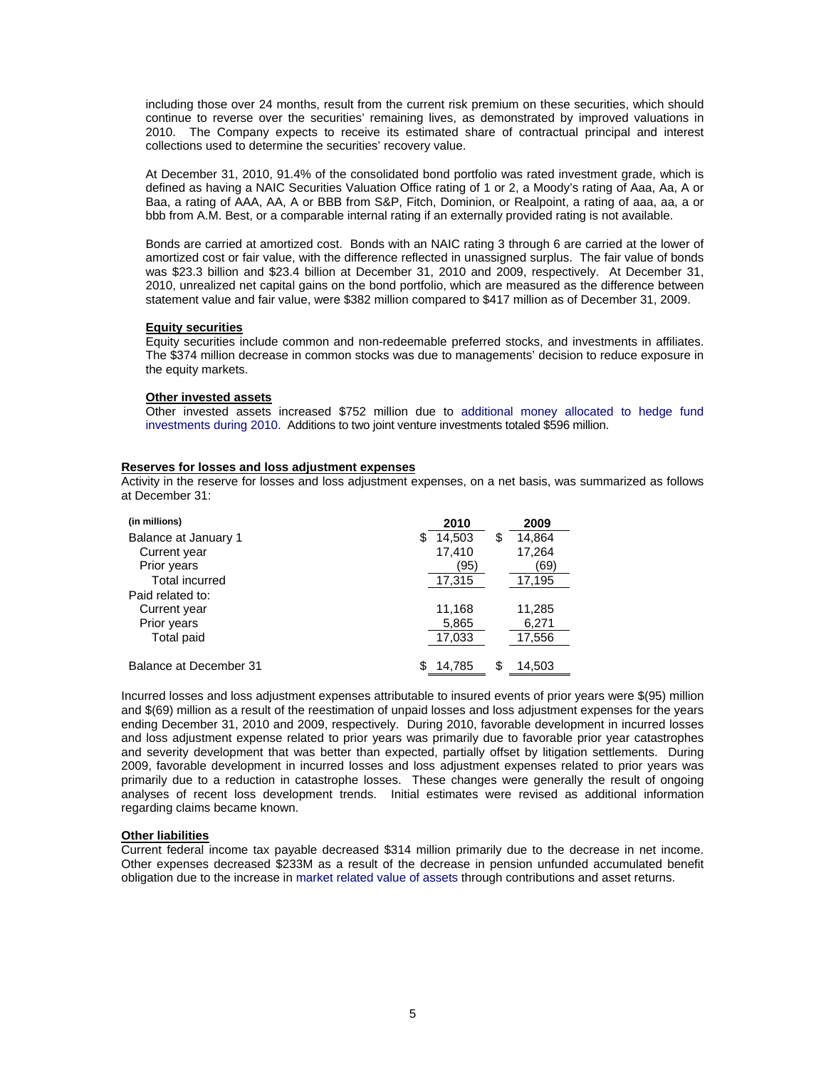including those over 24 months, result from the current risk premium on these securities, which should continue to reverse over the securities' remaining lives, as demonstrated by improved valuations in 2010. The Company expects to receive its estimated share of contractual principal and interest collections used to determine the securities' recovery value.

At December 31, 2010, 91.4% of the consolidated bond portfolio was rated investment grade, which is defined as having a NAIC Securities Valuation Office rating of 1 or 2, a Moody's rating of Aaa, Aa, A or Baa, a rating of AAA, AA, A or BBB from S&P, Fitch, Dominion, or Realpoint, a rating of aaa, aa, a or bbb from A.M. Best, or a comparable internal rating if an externally provided rating is not available.

Bonds are carried at amortized cost. Bonds with an NAIC rating 3 through 6 are carried at the lower of amortized cost or fair value, with the difference reflected in unassigned surplus. The fair value of bonds was \$23.3 billion and \$23.4 billion at December 31, 2010 and 2009, respectively. At December 31, 2010, unrealized net capital gains on the bond portfolio, which are measured as the difference between statement value and fair value, were \$382 million compared to \$417 million as of December 31, 2009.

## **Equity securities**

Equity securities include common and non-redeemable preferred stocks, and investments in affiliates. The \$374 million decrease in common stocks was due to managements' decision to reduce exposure in the equity markets.

## **Other invested assets**

Other invested assets increased \$752 million due to additional money allocated to hedge fund investments during 2010. Additions to two joint venture investments totaled \$596 million.

## **Reserves for losses and loss adjustment expenses**

Activity in the reserve for losses and loss adjustment expenses, on a net basis, was summarized as follows at December 31:

| (in millions)          |   | 2010   |    | 2009   |
|------------------------|---|--------|----|--------|
| Balance at January 1   | S | 14,503 | \$ | 14,864 |
| Current year           |   | 17,410 |    | 17,264 |
| Prior years            |   | '95    |    | 69)    |
| <b>Total incurred</b>  |   | 17,315 |    | 17,195 |
| Paid related to:       |   |        |    |        |
| Current year           |   | 11,168 |    | 11,285 |
| Prior years            |   | 5,865  |    | 6,271  |
| <b>Total paid</b>      |   | 17,033 |    | 17,556 |
|                        |   |        |    |        |
| Balance at December 31 |   | 14.785 | S  | 14.503 |

Incurred losses and loss adjustment expenses attributable to insured events of prior years were \$(95) million and \$(69) million as a result of the reestimation of unpaid losses and loss adjustment expenses for the years ending December 31, 2010 and 2009, respectively. During 2010, favorable development in incurred losses and loss adjustment expense related to prior years was primarily due to favorable prior year catastrophes and severity development that was better than expected, partially offset by litigation settlements. During 2009, favorable development in incurred losses and loss adjustment expenses related to prior years was primarily due to a reduction in catastrophe losses. These changes were generally the result of ongoing analyses of recent loss development trends. Initial estimates were revised as additional information regarding claims became known.

## **Other liabilities**

Current federal income tax payable decreased \$314 million primarily due to the decrease in net income. Other expenses decreased \$233M as a result of the decrease in pension unfunded accumulated benefit obligation due to the increase in market related value of assets through contributions and asset returns.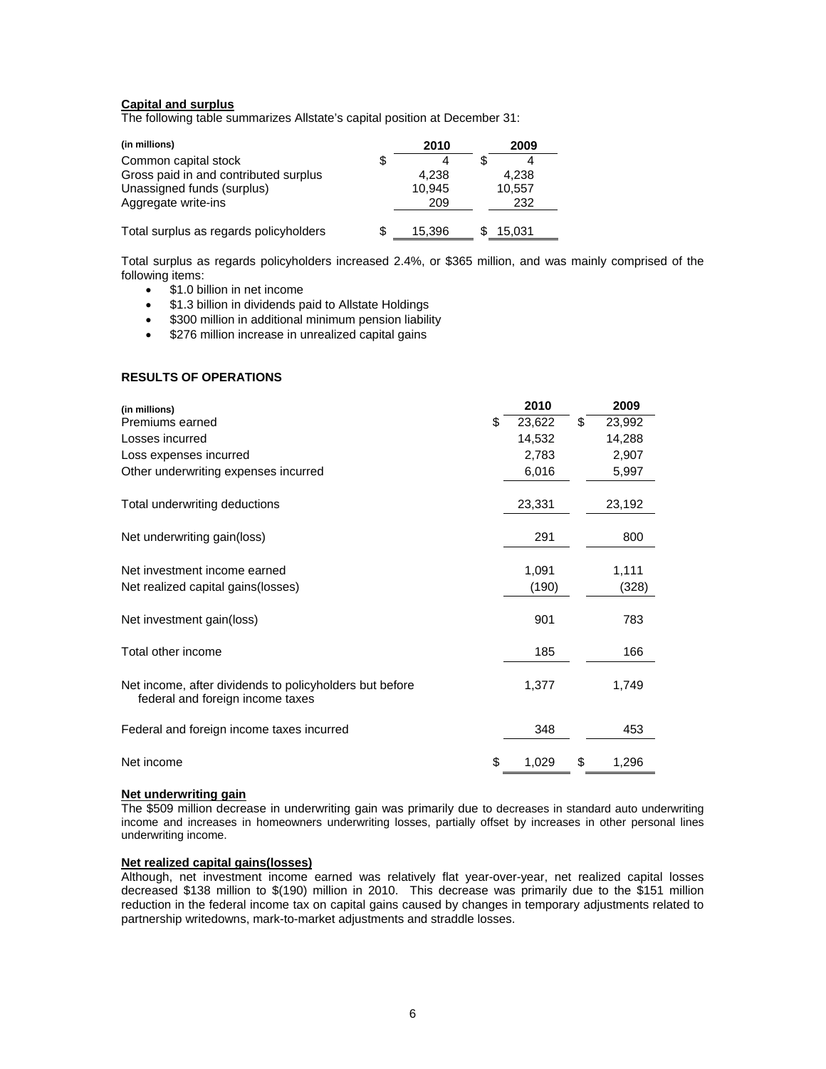# **Capital and surplus**

The following table summarizes Allstate's capital position at December 31:

| (in millions)                          | 2010   | 2009   |  |
|----------------------------------------|--------|--------|--|
| Common capital stock                   |        |        |  |
| Gross paid in and contributed surplus  | 4.238  | 4.238  |  |
| Unassigned funds (surplus)             | 10.945 | 10,557 |  |
| Aggregate write-ins                    | 209    | 232    |  |
| Total surplus as regards policyholders | 15.396 | 15.031 |  |

Total surplus as regards policyholders increased 2.4%, or \$365 million, and was mainly comprised of the following items:

- \$1.0 billion in net income
- \$1.3 billion in dividends paid to Allstate Holdings
- \$300 million in additional minimum pension liability
- \$276 million increase in unrealized capital gains

## **RESULTS OF OPERATIONS**

| (in millions)                                                                               | 2010         | 2009         |
|---------------------------------------------------------------------------------------------|--------------|--------------|
| Premiums earned                                                                             | \$<br>23,622 | \$<br>23,992 |
| Losses incurred                                                                             | 14,532       | 14,288       |
| Loss expenses incurred                                                                      | 2,783        | 2,907        |
| Other underwriting expenses incurred                                                        | 6,016        | 5,997        |
| Total underwriting deductions                                                               | 23,331       | 23,192       |
| Net underwriting gain(loss)                                                                 | 291          | 800          |
| Net investment income earned                                                                | 1,091        | 1,111        |
| Net realized capital gains (losses)                                                         | (190)        | (328)        |
| Net investment gain(loss)                                                                   | 901          | 783          |
| Total other income                                                                          | 185          | 166          |
| Net income, after dividends to policyholders but before<br>federal and foreign income taxes | 1,377        | 1,749        |
| Federal and foreign income taxes incurred                                                   | 348          | 453          |
| Net income                                                                                  | \$<br>1,029  | \$<br>1,296  |

# **Net underwriting gain**

The \$509 million decrease in underwriting gain was primarily due to decreases in standard auto underwriting income and increases in homeowners underwriting losses, partially offset by increases in other personal lines underwriting income.

#### **Net realized capital gains(losses)**

Although, net investment income earned was relatively flat year-over-year, net realized capital losses decreased \$138 million to \$(190) million in 2010. This decrease was primarily due to the \$151 million reduction in the federal income tax on capital gains caused by changes in temporary adjustments related to partnership writedowns, mark-to-market adjustments and straddle losses.